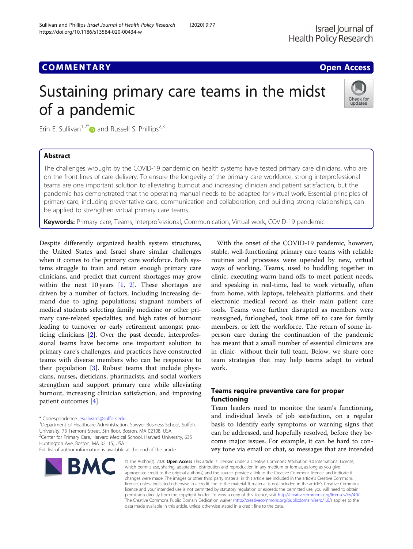## **COMMENTARY COMMENTARY COMMENTARY**

# Sustaining primary care teams in the midst of a pandemic



Erin E. Sullivan<sup>1,2\*</sup> and Russell S. Phillips<sup>2,3</sup>

## Abstract

The challenges wrought by the COVID-19 pandemic on health systems have tested primary care clinicians, who are on the front lines of care delivery. To ensure the longevity of the primary care workforce, strong interprofessional teams are one important solution to alleviating burnout and increasing clinician and patient satisfaction, but the pandemic has demonstrated that the operating manual needs to be adapted for virtual work. Essential principles of primary care, including preventative care, communication and collaboration, and building strong relationships, can be applied to strengthen virtual primary care teams.

Keywords: Primary care, Teams, Interprofessional, Communication, Virtual work, COVID-19 pandemic

Despite differently organized health system structures, the United States and Israel share similar challenges when it comes to the primary care workforce. Both systems struggle to train and retain enough primary care clinicians, and predict that current shortages may grow within the next 10 years  $[1, 2]$  $[1, 2]$  $[1, 2]$ . These shortages are driven by a number of factors, including increasing demand due to aging populations; stagnant numbers of medical students selecting family medicine or other primary care-related specialties; and high rates of burnout leading to turnover or early retirement amongst practicing clinicians [[2\]](#page-2-0). Over the past decade, interprofessional teams have become one important solution to primary care's challenges, and practices have constructed teams with diverse members who can be responsive to their population [[3\]](#page-2-0). Robust teams that include physicians, nurses, dieticians, pharmacists, and social workers strengthen and support primary care while alleviating burnout, increasing clinician satisfaction, and improving patient outcomes [[4](#page-2-0)].

<sup>1</sup> Department of Healthcare Administration, Sawyer Business School, Suffolk University, 73 Tremont Street, 5th floor, Boston, MA 02108, USA <sup>2</sup>Center for Primary Care, Harvard Medical School, Harvard University, 635

Huntington Ave, Boston, MA 02115, USA

Full list of author information is available at the end of the article



With the onset of the COVID-19 pandemic, however, stable, well-functioning primary care teams with reliable routines and processes were upended by new, virtual ways of working. Teams, used to huddling together in clinic, executing warm hand-offs to meet patient needs, and speaking in real-time, had to work virtually, often from home, with laptops, telehealth platforms, and their electronic medical record as their main patient care tools. Teams were further disrupted as members were reassigned, furloughed, took time off to care for family members, or left the workforce. The return of some inperson care during the continuation of the pandemic has meant that a small number of essential clinicians are in clinic- without their full team. Below, we share core team strategies that may help teams adapt to virtual work.

## Teams require preventive care for proper functioning

Team leaders need to monitor the team's functioning, and individual levels of job satisfaction, on a regular basis to identify early symptoms or warning signs that can be addressed, and hopefully resolved, before they become major issues. For example, it can be hard to convey tone via email or chat, so messages that are intended

© The Author(s), 2020 **Open Access** This article is licensed under a Creative Commons Attribution 4.0 International License, which permits use, sharing, adaptation, distribution and reproduction in any medium or format, as long as you give appropriate credit to the original author(s) and the source, provide a link to the Creative Commons licence, and indicate if changes were made. The images or other third party material in this article are included in the article's Creative Commons licence, unless indicated otherwise in a credit line to the material. If material is not included in the article's Creative Commons licence and your intended use is not permitted by statutory regulation or exceeds the permitted use, you will need to obtain permission directly from the copyright holder. To view a copy of this licence, visit [http://creativecommons.org/licenses/by/4.0/.](http://creativecommons.org/licenses/by/4.0/) The Creative Commons Public Domain Dedication waiver [\(http://creativecommons.org/publicdomain/zero/1.0/](http://creativecommons.org/publicdomain/zero/1.0/)) applies to the data made available in this article, unless otherwise stated in a credit line to the data.

<sup>\*</sup> Correspondence: [esullivan5@suffolk.edu](mailto:esullivan5@suffolk.edu) <sup>1</sup>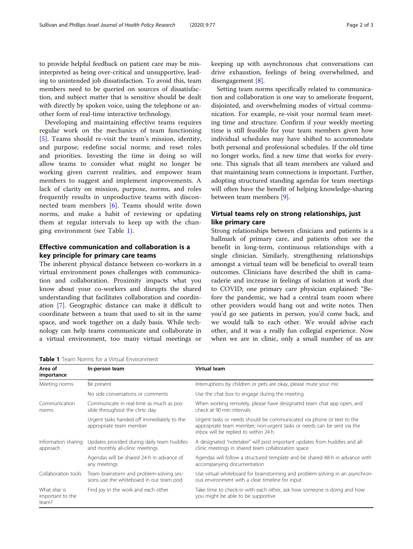to provide helpful feedback on patient care may be misinterpreted as being over-critical and unsupportive, leading to unintended job dissatisfaction. To avoid this, team members need to be queried on sources of dissatisfaction, and subject matter that is sensitive should be dealt with directly by spoken voice, using the telephone or another form of real-time interactive technology.

Developing and maintaining effective teams requires regular work on the mechanics of team functioning [[5\]](#page-2-0). Teams should re-visit the team's mission, identity, and purpose; redefine social norms; and reset roles and priorities. Investing the time in doing so will allow teams to consider what might no longer be working given current realities, and empower team members to suggest and implement improvements. A lack of clarity on mission, purpose, norms, and roles frequently results in unproductive teams with disconnected team members [[6\]](#page-2-0). Teams should write down norms, and make a habit of reviewing or updating them at regular intervals to keep up with the changing environment (see Table 1).

## Effective communication and collaboration is a key principle for primary care teams

The inherent physical distance between co-workers in a virtual environment poses challenges with communication and collaboration. Proximity impacts what you know about your co-workers and disrupts the shared understanding that facilitates collaboration and coordination [\[7](#page-2-0)]. Geographic distance can make it difficult to coordinate between a team that used to sit in the same space, and work together on a daily basis. While technology can help teams communicate and collaborate in a virtual environment, too many virtual meetings or keeping up with asynchronous chat conversations can drive exhaustion, feelings of being overwhelmed, and disengagement [[8](#page-2-0)].

Setting team norms specifically related to communication and collaboration is one way to ameliorate frequent, disjointed, and overwhelming modes of virtual communication. For example, re-visit your normal team meeting time and structure. Confirm if your weekly meeting time is still feasible for your team members given how individual schedules may have shifted to accommodate both personal and professional schedules. If the old time no longer works, find a new time that works for everyone. This signals that all team members are valued and that maintaining team connections is important. Further, adopting structured standing agendas for team meetings will often have the benefit of helping knowledge-sharing between team members [\[9](#page-2-0)].

## Virtual teams rely on strong relationships, just like primary care

Strong relationships between clinicians and patients is a hallmark of primary care, and patients often see the benefit in long-term, continuous relationships with a single clinician. Similarly, strengthening relationships amongst a virtual team will be beneficial to overall team outcomes. Clinicians have described the shift in camaraderie and increase in feelings of isolation at work due to COVID; one primary care physician explained: "Before the pandemic, we had a central team room where other providers would hang out and write notes. Then you'd go see patients in person, you'd come back, and we would talk to each other. We would advise each other, and it was a really fun collegial experience. Now when we are in clinic, only a small number of us are

Table 1 Team Norms for a Virtual Environment

| LUMUL I ILUITIIVUITIJIUI U VIILUUI LIIVIIUITILIILII |                                                                                      |                                                                                                                                                                                         |
|-----------------------------------------------------|--------------------------------------------------------------------------------------|-----------------------------------------------------------------------------------------------------------------------------------------------------------------------------------------|
| Area of<br>importance                               | In-person team                                                                       | Virtual team                                                                                                                                                                            |
| Meeting norms                                       | Be present                                                                           | Interruptions by children or pets are okay, please mute your mic                                                                                                                        |
|                                                     | No side conversations or comments                                                    | Use the chat box to engage during the meeting                                                                                                                                           |
| Communication<br>norms                              | Communicate in real-time as much as pos-<br>sible throughout the clinic day          | When working remotely, please have designated team chat app open, and<br>check at 90 min intervals                                                                                      |
|                                                     | Urgent tasks handed off immediately to the<br>appropriate team member                | Urgent tasks or needs should be communicated via phone or text to the<br>appropriate team member; non-urgent tasks or needs can be sent via the<br>inbox will be replied to within 24 h |
| Information sharing<br>approach                     | Updates provided during daily team huddles<br>and monthly all-clinic meetings        | A designated "notetaker" will post important updates from huddles and all-<br>clinic meetings in shared team collaboration space                                                        |
|                                                     | Agendas will be shared 24-h in advance of<br>any meetings                            | Agendas will follow a structured template and be shared 48-h in advance with<br>accompanying documentation                                                                              |
| Collaboration tools                                 | Team brainstorm and problem-solving ses-<br>sions use the whiteboard in our team pod | Use virtual whiteboard for brainstorming and problem-solving in an asynchron-<br>ous environment with a clear timeline for input                                                        |
| What else is<br>important to the<br>team?           | Find joy in the work and each other                                                  | Take time to check-in with each other, ask how someone is doing and how<br>you might be able to be supportive                                                                           |